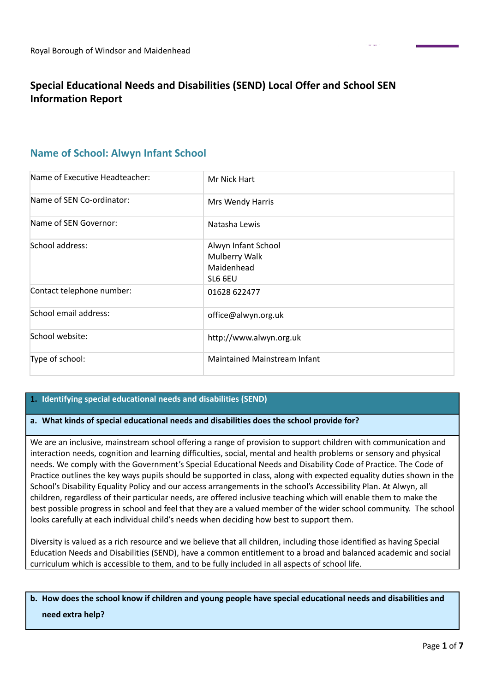# **Special Educational Needs and Disabilities (SEND) Local Offer and School SEN Information Report**

# **Name of School: Alwyn Infant School**

| Name of Executive Headteacher: | Mr Nick Hart                                                  |
|--------------------------------|---------------------------------------------------------------|
| Name of SEN Co-ordinator:      | Mrs Wendy Harris                                              |
| Name of SEN Governor:          | Natasha Lewis                                                 |
| School address:                | Alwyn Infant School<br>Mulberry Walk<br>Maidenhead<br>SL6 6EU |
| Contact telephone number:      | 01628 622477                                                  |
| School email address:          | office@alwyn.org.uk                                           |
| School website:                | http://www.alwyn.org.uk                                       |
| Type of school:                | Maintained Mainstream Infant                                  |

# **1. Identifying special educational needs and disabilities (SEND)**

## **a. What kinds of special educational needs and disabilities does the school provide for?**

We are an inclusive, mainstream school offering a range of provision to support children with communication and interaction needs, cognition and learning difficulties, social, mental and health problems or sensory and physical needs. We comply with the Government's Special Educational Needs and Disability Code of Practice. The Code of Practice outlines the key ways pupils should be supported in class, along with expected equality duties shown in the School's Disability Equality Policy and our access arrangements in the school's Accessibility Plan. At Alwyn, all children, regardless of their particular needs, are offered inclusive teaching which will enable them to make the best possible progress in school and feel that they are a valued member of the wider school community. The school looks carefully at each individual child's needs when deciding how best to support them.

Diversity is valued as a rich resource and we believe that all children, including those identified as having Special Education Needs and Disabilities (SEND), have a common entitlement to a broad and balanced academic and social curriculum which is accessible to them, and to be fully included in all aspects of school life.

# b. How does the school know if children and young people have special educational needs and disabilities and **need extra help?**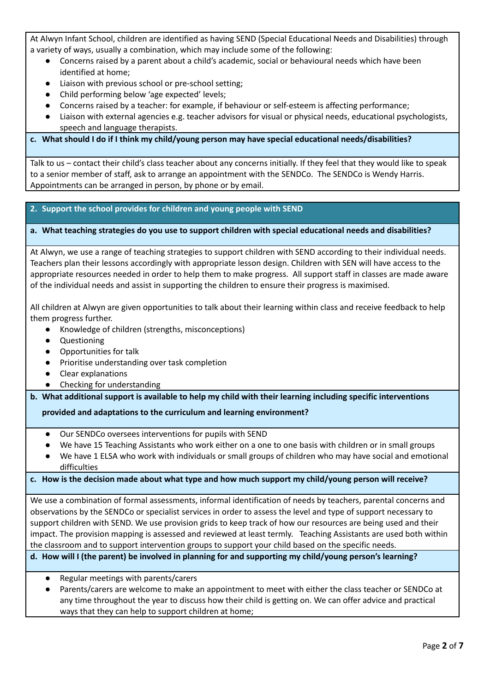At Alwyn Infant School, children are identified as having SEND (Special Educational Needs and Disabilities) through a variety of ways, usually a combination, which may include some of the following:

- Concerns raised by a parent about a child's academic, social or behavioural needs which have been identified at home;
- Liaison with previous school or pre-school setting;
- Child performing below 'age expected' levels;
- Concerns raised by a teacher: for example, if behaviour or self-esteem is affecting performance;
- Liaison with external agencies e.g. teacher advisors for visual or physical needs, educational psychologists, speech and language therapists.

# **c. What should I do if I think my child/young person may have special educational needs/disabilities?**

Talk to us – contact their child's class teacher about any concerns initially. If they feel that they would like to speak to a senior member of staff, ask to arrange an appointment with the SENDCo. The SENDCo is Wendy Harris. Appointments can be arranged in person, by phone or by email.

## **2. Support the school provides for children and young people with SEND**

#### **a. What teaching strategies do you use to support children with special educational needs and disabilities?**

At Alwyn, we use a range of teaching strategies to support children with SEND according to their individual needs. Teachers plan their lessons accordingly with appropriate lesson design. Children with SEN will have access to the appropriate resources needed in order to help them to make progress. All support staff in classes are made aware of the individual needs and assist in supporting the children to ensure their progress is maximised.

All children at Alwyn are given opportunities to talk about their learning within class and receive feedback to help them progress further.

- Knowledge of children (strengths, misconceptions)
- Questioning
- Opportunities for talk
- Prioritise understanding over task completion
- Clear explanations
- Checking for understanding

**b. What additional support is available to help my child with their learning including specific interventions**

**provided and adaptations to the curriculum and learning environment?**

- Our SENDCo oversees interventions for pupils with SEND
- We have 15 Teaching Assistants who work either on a one to one basis with children or in small groups
- We have 1 ELSA who work with individuals or small groups of children who may have social and emotional difficulties

## c. How is the decision made about what type and how much support my child/young person will receive?

We use a combination of formal assessments, informal identification of needs by teachers, parental concerns and observations by the SENDCo or specialist services in order to assess the level and type of support necessary to support children with SEND. We use provision grids to keep track of how our resources are being used and their impact. The provision mapping is assessed and reviewed at least termly. Teaching Assistants are used both within the classroom and to support intervention groups to support your child based on the specific needs.

## **d. How will I (the parent) be involved in planning for and supporting my child/young person's learning?**

- Regular meetings with parents/carers
- Parents/carers are welcome to make an appointment to meet with either the class teacher or SENDCo at any time throughout the year to discuss how their child is getting on. We can offer advice and practical ways that they can help to support children at home;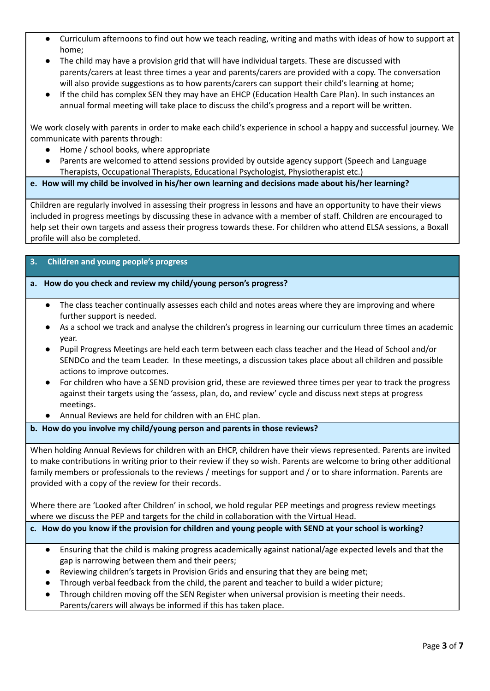- Curriculum afternoons to find out how we teach reading, writing and maths with ideas of how to support at home;
- The child may have a provision grid that will have individual targets. These are discussed with parents/carers at least three times a year and parents/carers are provided with a copy. The conversation will also provide suggestions as to how parents/carers can support their child's learning at home;
- If the child has complex SEN they may have an EHCP (Education Health Care Plan). In such instances an annual formal meeting will take place to discuss the child's progress and a report will be written.

We work closely with parents in order to make each child's experience in school a happy and successful journey. We communicate with parents through:

- Home / school books, where appropriate
- Parents are welcomed to attend sessions provided by outside agency support (Speech and Language Therapists, Occupational Therapists, Educational Psychologist, Physiotherapist etc.)

# **e. How will my child be involved in his/her own learning and decisions made about his/her learning?**

Children are regularly involved in assessing their progress in lessons and have an opportunity to have their views included in progress meetings by discussing these in advance with a member of staff. Children are encouraged to help set their own targets and assess their progress towards these. For children who attend ELSA sessions, a Boxall profile will also be completed.

## **3. Children and young people's progress**

# **a. How do you check and review my child/young person's progress?**

- The class teacher continually assesses each child and notes areas where they are improving and where further support is needed.
- As a school we track and analyse the children's progress in learning our curriculum three times an academic year.
- Pupil Progress Meetings are held each term between each class teacher and the Head of School and/or SENDCo and the team Leader. In these meetings, a discussion takes place about all children and possible actions to improve outcomes.
- For children who have a SEND provision grid, these are reviewed three times per year to track the progress against their targets using the 'assess, plan, do, and review' cycle and discuss next steps at progress meetings.
- Annual Reviews are held for children with an EHC plan.

## **b. How do you involve my child/young person and parents in those reviews?**

When holding Annual Reviews for children with an EHCP, children have their views represented. Parents are invited to make contributions in writing prior to their review if they so wish. Parents are welcome to bring other additional family members or professionals to the reviews / meetings for support and / or to share information. Parents are provided with a copy of the review for their records.

Where there are 'Looked after Children' in school, we hold regular PEP meetings and progress review meetings where we discuss the PEP and targets for the child in collaboration with the Virtual Head.

## c. How do you know if the provision for children and young people with SEND at your school is working?

- Ensuring that the child is making progress academically against national/age expected levels and that the gap is narrowing between them and their peers;
- Reviewing children's targets in Provision Grids and ensuring that they are being met;
- Through verbal feedback from the child, the parent and teacher to build a wider picture;
- Through children moving off the SEN Register when universal provision is meeting their needs. Parents/carers will always be informed if this has taken place.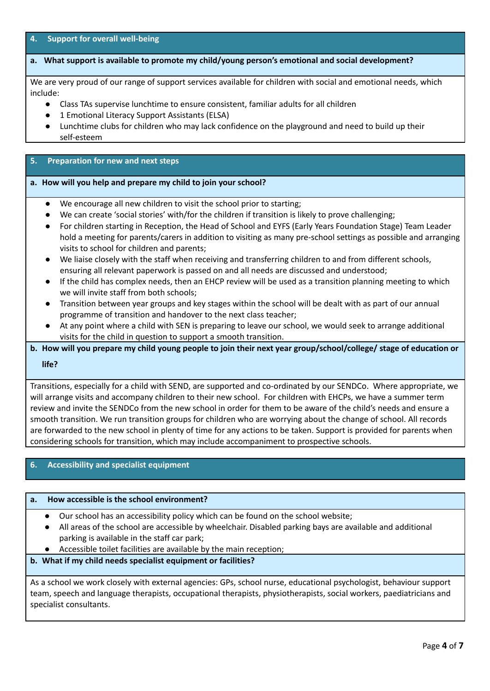**4. Support for overall well-being**

## **a. What support is available to promote my child/young person's emotional and social development?**

We are very proud of our range of support services available for children with social and emotional needs, which include:

- Class TAs supervise lunchtime to ensure consistent, familiar adults for all children
- 1 Emotional Literacy Support Assistants (ELSA)
- Lunchtime clubs for children who may lack confidence on the playground and need to build up their self-esteem

## **5. Preparation for new and next steps**

#### **a. How will you help and prepare my child to join your school?**

- We encourage all new children to visit the school prior to starting;
- We can create 'social stories' with/for the children if transition is likely to prove challenging;
- For children starting in Reception, the Head of School and EYFS (Early Years Foundation Stage) Team Leader hold a meeting for parents/carers in addition to visiting as many pre-school settings as possible and arranging visits to school for children and parents;
- We liaise closely with the staff when receiving and transferring children to and from different schools, ensuring all relevant paperwork is passed on and all needs are discussed and understood;
- If the child has complex needs, then an EHCP review will be used as a transition planning meeting to which we will invite staff from both schools;
- Transition between year groups and key stages within the school will be dealt with as part of our annual programme of transition and handover to the next class teacher;
- At any point where a child with SEN is preparing to leave our school, we would seek to arrange additional visits for the child in question to support a smooth transition.
- b. How will you prepare my child young people to join their next year group/school/college/ stage of education or

## **life?**

Transitions, especially for a child with SEND, are supported and co-ordinated by our SENDCo. Where appropriate, we will arrange visits and accompany children to their new school. For children with EHCPs, we have a summer term review and invite the SENDCo from the new school in order for them to be aware of the child's needs and ensure a smooth transition. We run transition groups for children who are worrying about the change of school. All records are forwarded to the new school in plenty of time for any actions to be taken. Support is provided for parents when considering schools for transition, which may include accompaniment to prospective schools.

# **6. Accessibility and specialist equipment**

#### **a. How accessible is the school environment?**

- *●* Our school has an accessibility policy which can be found on the school website;
- *●* All areas of the school are accessible by wheelchair. Disabled parking bays are available and additional parking is available in the staff car park;
- *●* Accessible toilet facilities are available by the main reception;

# **b. What if my child needs specialist equipment or facilities?**

As a school we work closely with external agencies: GPs, school nurse, educational psychologist, behaviour support team, speech and language therapists, occupational therapists, physiotherapists, social workers, paediatricians and specialist consultants.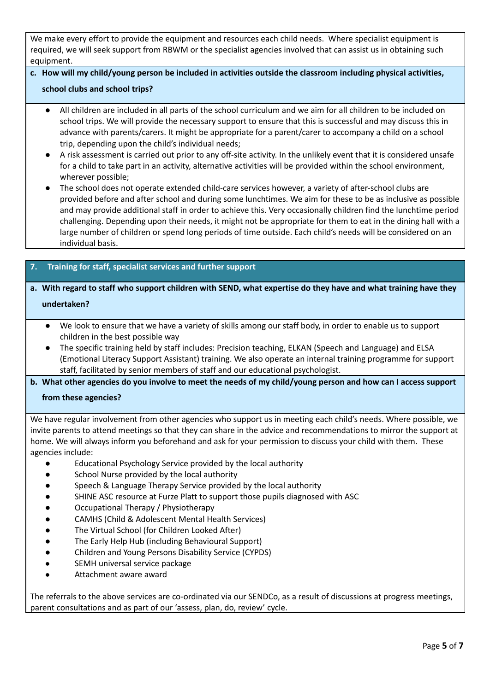We make every effort to provide the equipment and resources each child needs. Where specialist equipment is required, we will seek support from RBWM or the specialist agencies involved that can assist us in obtaining such equipment.

# **c. How will my child/young person be included in activities outside the classroom including physical activities,**

## **school clubs and school trips?**

- All children are included in all parts of the school curriculum and we aim for all children to be included on school trips. We will provide the necessary support to ensure that this is successful and may discuss this in advance with parents/carers. It might be appropriate for a parent/carer to accompany a child on a school trip, depending upon the child's individual needs;
- A risk assessment is carried out prior to any off-site activity. In the unlikely event that it is considered unsafe for a child to take part in an activity, alternative activities will be provided within the school environment, wherever possible;
- The school does not operate extended child-care services however, a variety of after-school clubs are provided before and after school and during some lunchtimes. We aim for these to be as inclusive as possible and may provide additional staff in order to achieve this. Very occasionally children find the lunchtime period challenging. Depending upon their needs, it might not be appropriate for them to eat in the dining hall with a large number of children or spend long periods of time outside. Each child's needs will be considered on an individual basis.

# **7. Training for staff, specialist services and further support**

# a. With regard to staff who support children with SEND, what expertise do they have and what training have they **undertaken?**

- We look to ensure that we have a variety of skills among our staff body, in order to enable us to support children in the best possible way
- The specific training held by staff includes: Precision teaching, ELKAN (Speech and Language) and ELSA (Emotional Literacy Support Assistant) training. We also operate an internal training programme for support staff, facilitated by senior members of staff and our educational psychologist.

b. What other agencies do you involve to meet the needs of my child/young person and how can I access support

## **from these agencies?**

We have regular involvement from other agencies who support us in meeting each child's needs. Where possible, we invite parents to attend meetings so that they can share in the advice and recommendations to mirror the support at home. We will always inform you beforehand and ask for your permission to discuss your child with them. These agencies include:

- Educational Psychology Service provided by the local authority
- School Nurse provided by the local authority
- Speech & Language Therapy Service provided by the local authority
- SHINE ASC resource at Furze Platt to support those pupils diagnosed with ASC
- Occupational Therapy / Physiotherapy
- CAMHS (Child & Adolescent Mental Health Services)
- The Virtual School (for Children Looked After)
- The Early Help Hub (including Behavioural Support)
- Children and Young Persons Disability Service (CYPDS)
- SEMH universal service package
- Attachment aware award

The referrals to the above services are co-ordinated via our SENDCo, as a result of discussions at progress meetings, parent consultations and as part of our 'assess, plan, do, review' cycle.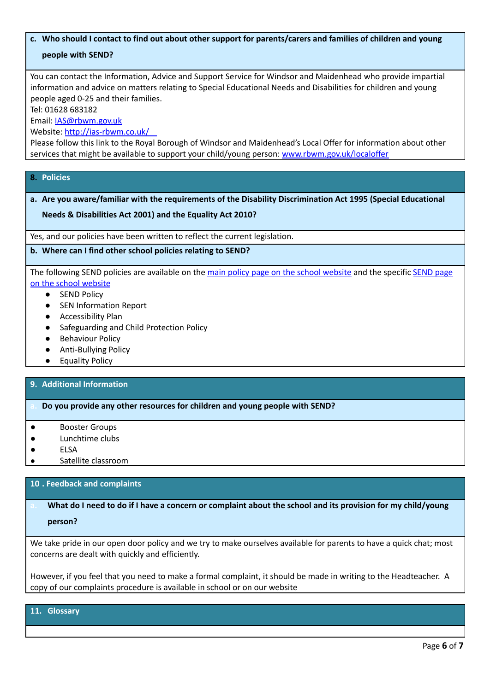# c. Who should I contact to find out about other support for parents/carers and families of children and young **people with SEND?**

You can contact the Information, Advice and Support Service for Windsor and Maidenhead who provide impartial information and advice on matters relating to Special Educational Needs and Disabilities for children and young people aged 0-25 and their families.

Tel: 01628 683182

Email: [IAS@rbwm.gov.uk](mailto:IAS@rbwm.gov.uk)

Website: <http://ias-rbwm.co.uk/>

Please follow this link to the Royal Borough of Windsor and Maidenhead's Local Offer for information about other services that might be available to support your child/young person: [www.rbwm.gov.uk/localoffer](http://www.rbwm.gov.uk/localoffer)

# **8. Policies**

# **a. Are you aware/familiar with the requirements of the Disability Discrimination Act 1995 (Special Educational**

# **Needs & Disabilities Act 2001) and the Equality Act 2010?**

Yes, and our policies have been written to reflect the current legislation.

# **b. Where can I find other school policies relating to SEND?**

The following SEND policies are available on the main policy page on the school [website](https://www.courthousejunior.co.uk/policies/) and the specific [SEND](https://www.courthousejunior.co.uk/special-educational-needs-and-disabilites/) page on the school [website](https://www.courthousejunior.co.uk/special-educational-needs-and-disabilites/)

- SEND Policy
- SEN Information Report
- Accessibility Plan
- Safeguarding and Child Protection Policy
- Behaviour Policy
- Anti-Bullying Policy
- Equality Policy

## **9. Additional Information**

## **a. Do you provide any other resources for children and young people with SEND?**

- Booster Groups
- Lunchtime clubs
- **ELSA**
- Satellite classroom

# **10 . Feedback and complaints**

# What do I need to do if I have a concern or complaint about the school and its provision for my child/young **person?**

We take pride in our open door policy and we try to make ourselves available for parents to have a quick chat; most concerns are dealt with quickly and efficiently.

However, if you feel that you need to make a formal complaint, it should be made in writing to the Headteacher. A copy of our complaints procedure is available in school or on our website

#### **11. Glossary**